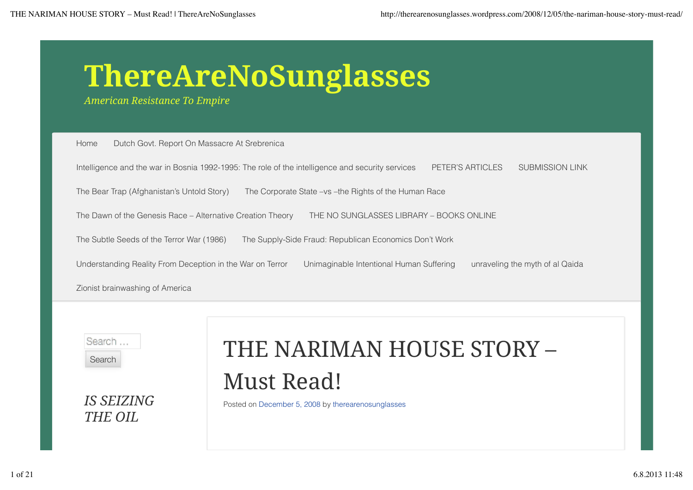# **ThereAreNoSunglasses**

*American Resistance To Empire*

Home Dutch Govt. Report On Massacre At Srebrenica

Intelligence and the war in Bosnia 1992-1995: The role of the intelligence and security services PETER'S ARTICLES SUBMISSION LINK

The Bear Trap (Afghanistan's Untold Story) The Corporate State –vs –the Rights of the Human Race

The Dawn of the Genesis Race – Alternative Creation Theory THE NO SUNGLASSES LIBRARY – BOOKS ONLINE

The Subtle Seeds of the Terror War (1986) The Supply-Side Fraud: Republican Economics Don't Work

Understanding Reality From Deception in the War on Terror Unimaginable Intentional Human Suffering unraveling the myth of al Qaida

Zionist brainwashing of America

Search... Search

*IS SEIZING*

*THE OIL*

# THE NARIMAN HOUSE STORY – Must Read!

Posted on December 5, 2008 by therearenosunglasses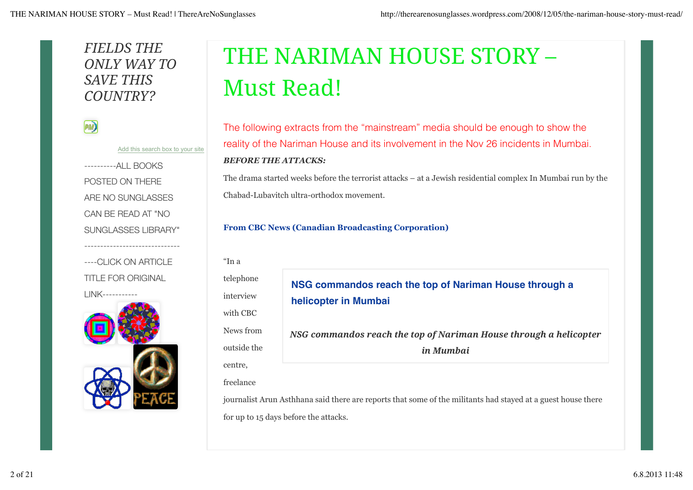# *FIELDS THE ONLY WAY TO SAVE THIS COUNTRY?*

| _______ |  |     |  |
|---------|--|-----|--|
|         |  |     |  |
|         |  |     |  |
|         |  | . . |  |

Add this search box to your site

----------ALL BOOKS POSTED ON THERE ARE NO SUNGLASSES CAN BE READ AT "NO SUNGLASSES LIBRARY" ------------------------------ ----CLICK ON ARTICLE TITLE FOR ORIGINAL LINK-----------



# THE NARIMAN HOUSE STORY – Must Read!

The following extracts from the "mainstream" media should be enough to show the reality of the Nariman House and its involvement in the Nov 26 incidents in Mumbai. *BEFORE THE ATTACKS:*

The drama started weeks before the terrorist attacks – at a Jewish residential complex In Mumbai run by the Chabad-Lubavitch ultra-orthodox movement.

#### **From CBC News (Canadian Broadcasting Corporation)**

"In a telephone interview with CBC News from outside the centre, freelance

**NSG commandos reach the top of Nariman House through a helicopter in Mumbai**

*NSG commandos reach the top of Nariman House through a helicopter in Mumbai*

journalist Arun Asthhana said there are reports that some of the militants had stayed at a guest house there for up to 15 days before the attacks.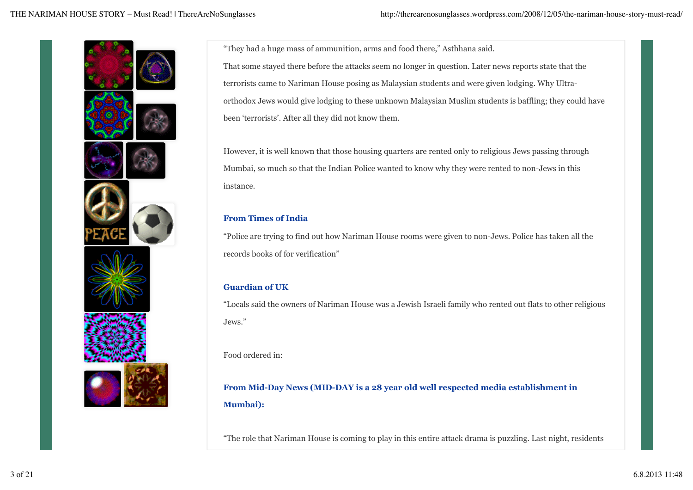

"They had a huge mass of ammunition, arms and food there," Asthhana said. That some stayed there before the attacks seem no longer in question. Later news reports state that the terrorists came to Nariman House posing as Malaysian students and were given lodging. Why Ultraorthodox Jews would give lodging to these unknown Malaysian Muslim students is baffling; they could have been 'terrorists'. After all they did not know them.

However, it is well known that those housing quarters are rented only to religious Jews passing through Mumbai, so much so that the Indian Police wanted to know why they were rented to non-Jews in this instance.

#### **From Times of India**

"Police are trying to find out how Nariman House rooms were given to non-Jews. Police has taken all the records books of for verification"

## **Guardian of UK**

"Locals said the owners of Nariman House was a Jewish Israeli family who rented out flats to other religious Jews."

Food ordered in:

**From Mid-Day News (MID-DAY is a 28 year old well respected media establishment in Mumbai):**

"The role that Nariman House is coming to play in this entire attack drama is puzzling. Last night, residents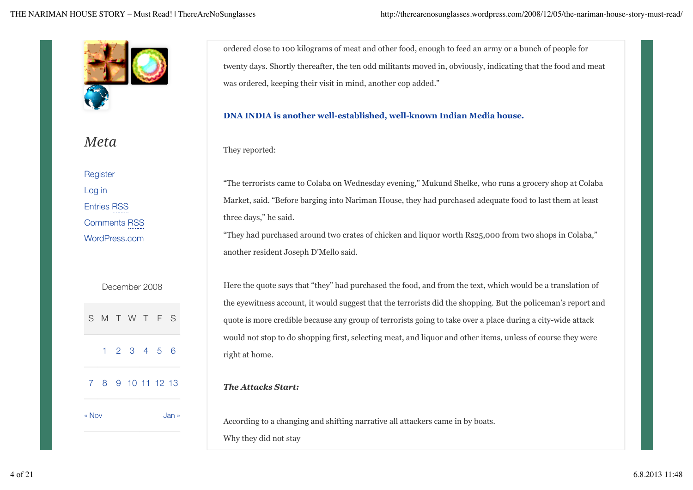

# *Meta*

**Register** Log in Entries RSS Comments RSS WordPress.com

|       |  | December 2008     |  |       |
|-------|--|-------------------|--|-------|
|       |  | SMTWTFS           |  |       |
|       |  | 123456            |  |       |
|       |  | 7 8 9 10 11 12 13 |  |       |
| « Nov |  |                   |  | Jan » |

ordered close to 100 kilograms of meat and other food, enough to feed an army or a bunch of people for twenty days. Shortly thereafter, the ten odd militants moved in, obviously, indicating that the food and meat was ordered, keeping their visit in mind, another cop added."

### **DNA INDIA is another well-established, well-known Indian Media house.**

They reported:

"The terrorists came to Colaba on Wednesday evening," Mukund Shelke, who runs a grocery shop at Colaba Market, said. "Before barging into Nariman House, they had purchased adequate food to last them at least three days," he said.

"They had purchased around two crates of chicken and liquor worth Rs25,000 from two shops in Colaba," another resident Joseph D'Mello said.

Here the quote says that "they" had purchased the food, and from the text, which would be a translation of the eyewitness account, it would suggest that the terrorists did the shopping. But the policeman's report and quote is more credible because any group of terrorists going to take over a place during a city-wide attack would not stop to do shopping first, selecting meat, and liquor and other items, unless of course they were right at home.

## *The Attacks Start:*

According to a changing and shifting narrative all attackers came in by boats. Why they did not stay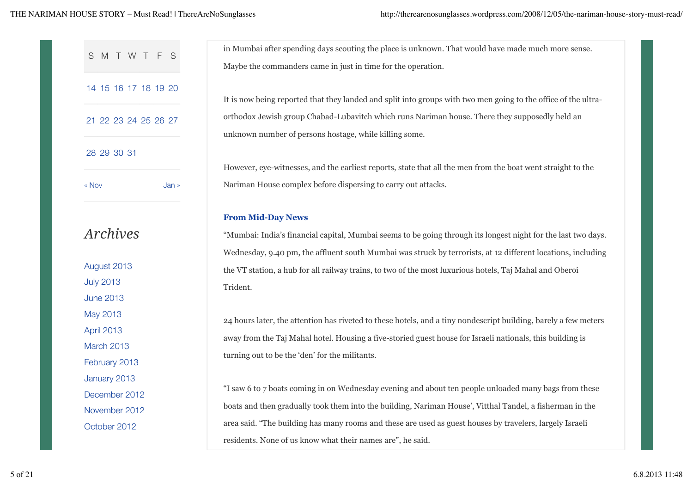|                      | in Mumbai after spending days scouting the place is unknown. That would have made much more sense.                                                       |
|----------------------|----------------------------------------------------------------------------------------------------------------------------------------------------------|
| MTWTFS<br>S          | Maybe the commanders came in just in time for the operation.                                                                                             |
| 14 15 16 17 18 19 20 | It is now being reported that they landed and split into groups with two men going to the office of the ultra-                                           |
| 21 22 23 24 25 26 27 | orthodox Jewish group Chabad-Lubavitch which runs Nariman house. There they supposedly held an<br>unknown number of persons hostage, while killing some. |
| 28 29 30 31          |                                                                                                                                                          |
|                      | However, eye-witnesses, and the earliest reports, state that all the men from the boat went straight to the                                              |
| « Nov<br>Jan »       | Nariman House complex before dispersing to carry out attacks.                                                                                            |
|                      | <b>From Mid-Day News</b>                                                                                                                                 |
| <b>Archives</b>      | "Mumbai: India's financial capital, Mumbai seems to be going through its longest night for the last two days.                                            |
|                      | Wednesday, 9.40 pm, the affluent south Mumbai was struck by terrorists, at 12 different locations, including                                             |
| August 2013          | the VT station, a hub for all railway trains, to two of the most luxurious hotels, Taj Mahal and Oberoi                                                  |
| <b>July 2013</b>     | Trident.                                                                                                                                                 |
| <b>June 2013</b>     |                                                                                                                                                          |
| May 2013             | 24 hours later, the attention has riveted to these hotels, and a tiny nondescript building, barely a few meters                                          |
| April 2013           | away from the Taj Mahal hotel. Housing a five-storied guest house for Israeli nationals, this building is                                                |
| March 2013           | turning out to be the 'den' for the militants.                                                                                                           |
| February 2013        |                                                                                                                                                          |
| January 2013         |                                                                                                                                                          |
| December 2012        | "I saw 6 to 7 boats coming in on Wednesday evening and about ten people unloaded many bags from these                                                    |
| November 2012        | boats and then gradually took them into the building, Nariman House', Vitthal Tandel, a fisherman in the                                                 |
| October 2012         | area said. "The building has many rooms and these are used as guest houses by travelers, largely Israeli                                                 |

residents. None of us know what their names are", he said.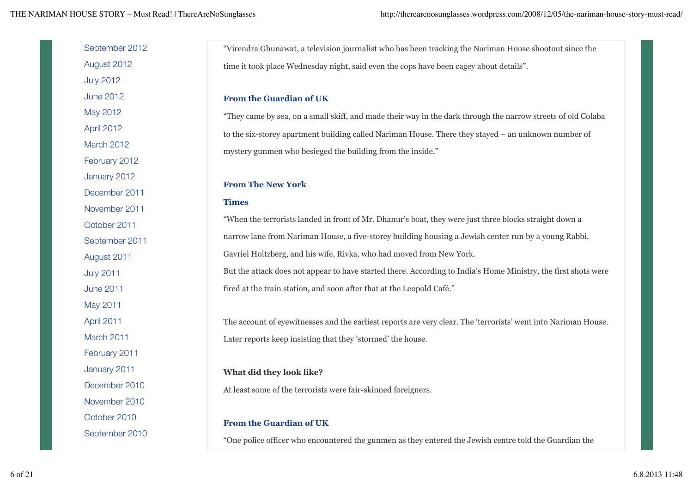| September 2012   | "Virendra Ghunawat, a television journalist who has been tracking the Nariman House shootout since the         |
|------------------|----------------------------------------------------------------------------------------------------------------|
| August 2012      | time it took place Wednesday night, said even the cops have been cagey about details".                         |
| <b>July 2012</b> |                                                                                                                |
| <b>June 2012</b> | <b>From the Guardian of UK</b>                                                                                 |
| May 2012         | "They came by sea, on a small skiff, and made their way in the dark through the narrow streets of old Colaba   |
| April 2012       | to the six-storey apartment building called Nariman House. There they stayed – an unknown number of            |
| March 2012       | mystery gunmen who besieged the building from the inside."                                                     |
| February 2012    |                                                                                                                |
| January 2012     | <b>From The New York</b>                                                                                       |
| December 2011    |                                                                                                                |
| November 2011    | <b>Times</b>                                                                                                   |
| October 2011     | "When the terrorists landed in front of Mr. Dhanur's boat, they were just three blocks straight down a         |
| September 2011   | narrow lane from Nariman House, a five-storey building housing a Jewish center run by a young Rabbi,           |
| August 2011      | Gavriel Holtzberg, and his wife, Rivka, who had moved from New York.                                           |
| <b>July 2011</b> | But the attack does not appear to have started there. According to India's Home Ministry, the first shots were |
| <b>June 2011</b> | fired at the train station, and soon after that at the Leopold Café."                                          |
| May 2011         |                                                                                                                |
| April 2011       | The account of eyewitnesses and the earliest reports are very clear. The 'terrorists' went into Nariman House. |
| March 2011       | Later reports keep insisting that they 'stormed' the house.                                                    |
| February 2011    |                                                                                                                |
| January 2011     | What did they look like?                                                                                       |
| December 2010    | At least some of the terrorists were fair-skinned foreigners.                                                  |
| November 2010    |                                                                                                                |
| October 2010     | <b>From the Guardian of UK</b>                                                                                 |
| September 2010   |                                                                                                                |
|                  | "One police officer who encountered the gunmen as they entered the Jewish centre told the Guardian the         |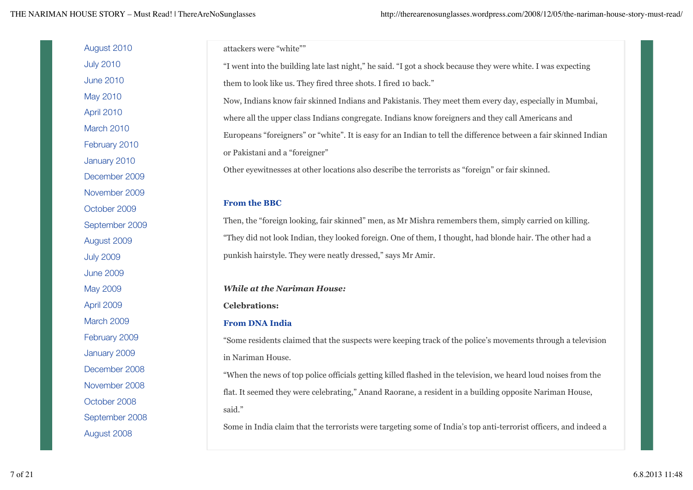THE NARIMAN HOUSE STORY – Must Read! | ThereAreNoSunglasses http://therearenosunglasses.wordpress.com/2008/12/05/the-nariman-house-story-must-read/

| August 2010      | attackers were "white""                                                                                          |
|------------------|------------------------------------------------------------------------------------------------------------------|
| <b>July 2010</b> | "I went into the building late last night," he said. "I got a shock because they were white. I was expecting     |
| <b>June 2010</b> | them to look like us. They fired three shots. I fired 10 back."                                                  |
| May 2010         | Now, Indians know fair skinned Indians and Pakistanis. They meet them every day, especially in Mumbai,           |
| April 2010       | where all the upper class Indians congregate. Indians know foreigners and they call Americans and                |
| March 2010       | Europeans "foreigners" or "white". It is easy for an Indian to tell the difference between a fair skinned Indian |
| February 2010    | or Pakistani and a "foreigner"                                                                                   |
| January 2010     |                                                                                                                  |
| December 2009    | Other eyewitnesses at other locations also describe the terrorists as "foreign" or fair skinned.                 |
| November 2009    |                                                                                                                  |
| October 2009     | <b>From the BBC</b>                                                                                              |
| September 2009   | Then, the "foreign looking, fair skinned" men, as Mr Mishra remembers them, simply carried on killing.           |
| August 2009      | "They did not look Indian, they looked foreign. One of them, I thought, had blonde hair. The other had a         |
| <b>July 2009</b> | punkish hairstyle. They were neatly dressed," says Mr Amir.                                                      |
| <b>June 2009</b> |                                                                                                                  |
| May 2009         | <b>While at the Nariman House:</b>                                                                               |
| April 2009       | <b>Celebrations:</b>                                                                                             |
| March 2009       | <b>From DNA India</b>                                                                                            |
| February 2009    | "Some residents claimed that the suspects were keeping track of the police's movements through a television      |
| January 2009     | in Nariman House.                                                                                                |
| December 2008    | "When the news of top police officials getting killed flashed in the television, we heard loud noises from the   |
| November 2008    | flat. It seemed they were celebrating," Anand Raorane, a resident in a building opposite Nariman House,          |
| October 2008     | said."                                                                                                           |
| September 2008   |                                                                                                                  |
| August 2008      | Some in India claim that the terrorists were targeting some of India's top anti-terrorist officers, and indeed a |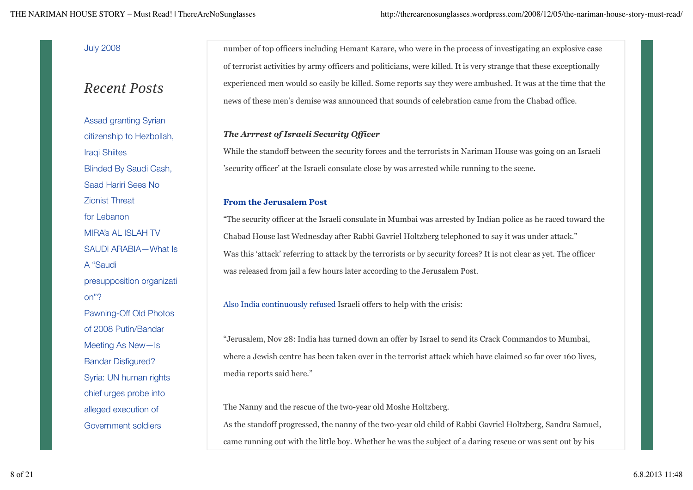## July 2008

# *Recent Posts*

Assad granting Syrian citizenship to Hezbollah, Iraqi Shiites Blinded By Saudi Cash, Saad Hariri Sees No Zionist Threat for Lebanon MIRA's AL ISLAH TV SAUDI ARABIA—What Is A "Saudi presupposition organizati on"? Pawning-Off Old Photos of 2008 Putin/Bandar Meeting As New—Is Bandar Disfigured? Syria: UN human rights chief urges probe into alleged execution of Government soldiers

number of top officers including Hemant Karare, who were in the process of investigating an explosive case of terrorist activities by army officers and politicians, were killed. It is very strange that these exceptionally experienced men would so easily be killed. Some reports say they were ambushed. It was at the time that the news of these men's demise was announced that sounds of celebration came from the Chabad office.

## *The Arrrest of Israeli Security Officer*

While the standoff between the security forces and the terrorists in Nariman House was going on an Israeli 'security officer' at the Israeli consulate close by was arrested while running to the scene.

### **From the Jerusalem Post**

"The security officer at the Israeli consulate in Mumbai was arrested by Indian police as he raced toward the Chabad House last Wednesday after Rabbi Gavriel Holtzberg telephoned to say it was under attack." Was this 'attack' referring to attack by the terrorists or by security forces? It is not clear as yet. The officer was released from jail a few hours later according to the Jerusalem Post.

Also India continuously refused Israeli offers to help with the crisis:

"Jerusalem, Nov 28: India has turned down an offer by Israel to send its Crack Commandos to Mumbai, where a Jewish centre has been taken over in the terrorist attack which have claimed so far over 160 lives, media reports said here."

The Nanny and the rescue of the two-year old Moshe Holtzberg. As the standoff progressed, the nanny of the two-year old child of Rabbi Gavriel Holtzberg, Sandra Samuel, came running out with the little boy. Whether he was the subject of a daring rescue or was sent out by his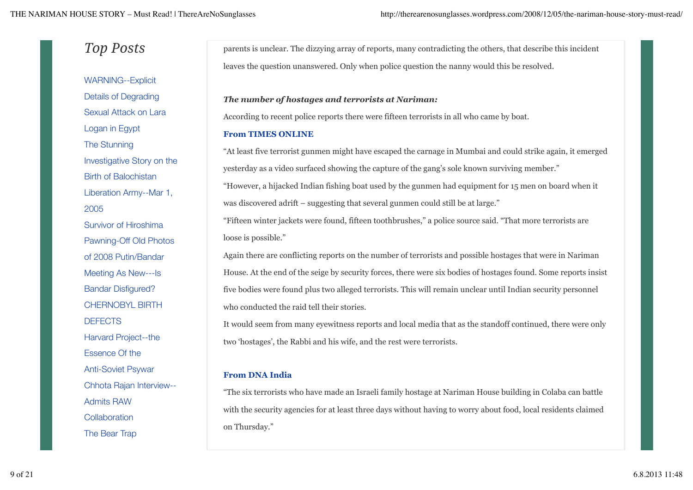# *Top Posts*

WARNING--Explicit Details of Degrading Sexual Attack on Lara Logan in Egypt The Stunning Investigative Story on the Birth of Balochistan Liberation Army--Mar 1, 2005 Survivor of Hiroshima Pawning-Off Old Photos of 2008 Putin/Bandar Meeting As New---Is Bandar Disfigured? CHERNOBYL BIRTH **DEFECTS** Harvard Project--the Essence Of the Anti-Soviet Psywar Chhota Rajan Interview-- Admits RAW **Collaboration** The Bear Trap

parents is unclear. The dizzying array of reports, many contradicting the others, that describe this incident leaves the question unanswered. Only when police question the nanny would this be resolved.

#### *The number of hostages and terrorists at Nariman:*

According to recent police reports there were fifteen terrorists in all who came by boat.

#### **From TIMES ONLINE**

"At least five terrorist gunmen might have escaped the carnage in Mumbai and could strike again, it emerged yesterday as a video surfaced showing the capture of the gang's sole known surviving member."

"However, a hijacked Indian fishing boat used by the gunmen had equipment for 15 men on board when it was discovered adrift – suggesting that several gunmen could still be at large."

"Fifteen winter jackets were found, fifteen toothbrushes," a police source said. "That more terrorists are loose is possible."

Again there are conflicting reports on the number of terrorists and possible hostages that were in Nariman House. At the end of the seige by security forces, there were six bodies of hostages found. Some reports insist five bodies were found plus two alleged terrorists. This will remain unclear until Indian security personnel who conducted the raid tell their stories.

It would seem from many eyewitness reports and local media that as the standoff continued, there were only two 'hostages', the Rabbi and his wife, and the rest were terrorists.

## **From DNA India**

"The six terrorists who have made an Israeli family hostage at Nariman House building in Colaba can battle with the security agencies for at least three days without having to worry about food, local residents claimed on Thursday."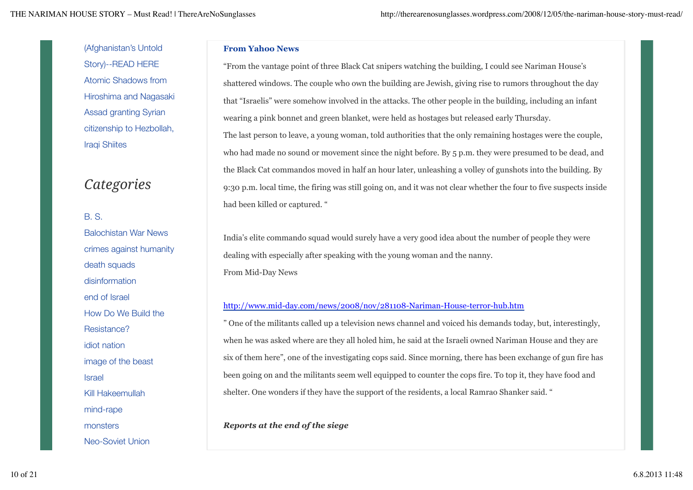(Afghanistan's Untold Story)--READ HERE Atomic Shadows from Hiroshima and Nagasaki Assad granting Syrian citizenship to Hezbollah, Iraqi Shiites

# *Categories*

## B. S.

Balochistan War News crimes against humanity death squads disinformation end of Israel How Do We Build the Resistance? idiot nation image of the beast Israel Kill Hakeemullah mind-rape monsters Neo-Soviet Union

#### **From Yahoo News**

"From the vantage point of three Black Cat snipers watching the building, I could see Nariman House's shattered windows. The couple who own the building are Jewish, giving rise to rumors throughout the day that "Israelis" were somehow involved in the attacks. The other people in the building, including an infant wearing a pink bonnet and green blanket, were held as hostages but released early Thursday. The last person to leave, a young woman, told authorities that the only remaining hostages were the couple, who had made no sound or movement since the night before. By 5 p.m. they were presumed to be dead, and the Black Cat commandos moved in half an hour later, unleashing a volley of gunshots into the building. By 9:30 p.m. local time, the firing was still going on, and it was not clear whether the four to five suspects inside had been killed or captured. "

India's elite commando squad would surely have a very good idea about the number of people they were dealing with especially after speaking with the young woman and the nanny. From Mid-Day News

### http://www.mid-day.com/news/2008/nov/281108-Nariman-House-terror-hub.htm

" One of the militants called up a television news channel and voiced his demands today, but, interestingly, when he was asked where are they all holed him, he said at the Israeli owned Nariman House and they are six of them here", one of the investigating cops said. Since morning, there has been exchange of gun fire has been going on and the militants seem well equipped to counter the cops fire. To top it, they have food and shelter. One wonders if they have the support of the residents, a local Ramrao Shanker said. "

# *Reports at the end of the siege*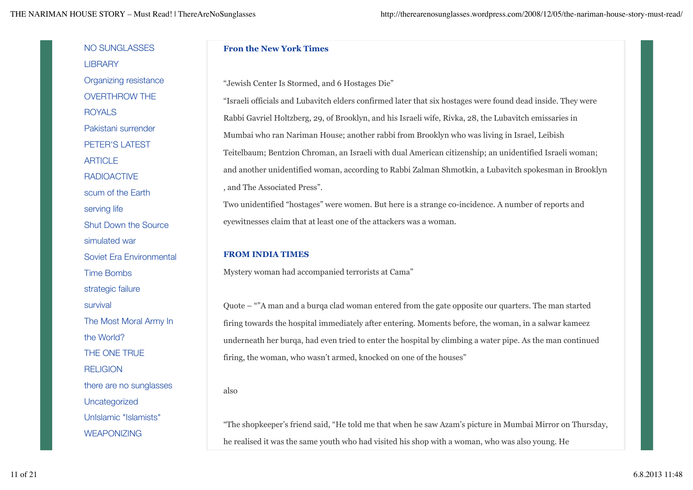THE NARIMAN HOUSE STORY – Must Read! | ThereAreNoSunglasses http://therearenosunglasses.wordpress.com/2008/12/05/the-nariman-house-story-must-read/

NO SUNGLASSES **LIBRARY** Organizing resistance OVERTHROW THE ROYALS Pakistani surrender PETER'S LATEST **ARTICLE** RADIOACTIVE scum of the Earth serving life Shut Down the Source simulated war Soviet Era Environmental Time Bombs strategic failure survival The Most Moral Army In the World? THE ONE TRUE **RELIGION** there are no sunglasses **Uncategorized** UnIslamic "Islamists" WEAPONIZING also

#### **Fron the New York Times**

"Jewish Center Is Stormed, and 6 Hostages Die"

"Israeli officials and Lubavitch elders confirmed later that six hostages were found dead inside. They were Rabbi Gavriel Holtzberg, 29, of Brooklyn, and his Israeli wife, Rivka, 28, the Lubavitch emissaries in Mumbai who ran Nariman House; another rabbi from Brooklyn who was living in Israel, Leibish Teitelbaum; Bentzion Chroman, an Israeli with dual American citizenship; an unidentified Israeli woman; and another unidentified woman, according to Rabbi Zalman Shmotkin, a Lubavitch spokesman in Brooklyn , and The Associated Press".

Two unidentified "hostages" were women. But here is a strange co-incidence. A number of reports and eyewitnesses claim that at least one of the attackers was a woman.

#### **FROM INDIA TIMES**

Mystery woman had accompanied terrorists at Cama"

Quote – ""A man and a burqa clad woman entered from the gate opposite our quarters. The man started firing towards the hospital immediately after entering. Moments before, the woman, in a salwar kameez underneath her burqa, had even tried to enter the hospital by climbing a water pipe. As the man continued firing, the woman, who wasn't armed, knocked on one of the houses"

"The shopkeeper's friend said, "He told me that when he saw Azam's picture in Mumbai Mirror on Thursday, he realised it was the same youth who had visited his shop with a woman, who was also young. He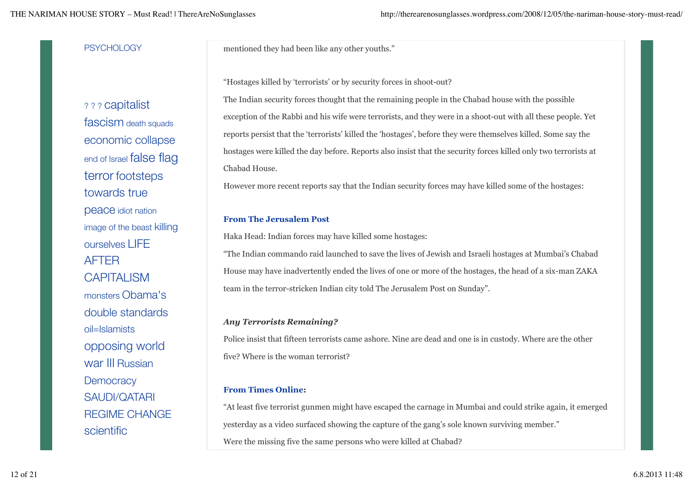#### **PSYCHOLOGY**

? ? ? capitalist fascism death squads economic collapse end of Israel **false** flag terror footsteps towards true peace idiot nation image of the beast killing ourselves LIFE AFTER **CAPITALISM** monsters Obama's double standards oil=Islamists opposing world war III Russian **Democracy** SAUDI/QATARI REGIME CHANGE scientific

mentioned they had been like any other youths."

"Hostages killed by 'terrorists' or by security forces in shoot-out?

The Indian security forces thought that the remaining people in the Chabad house with the possible exception of the Rabbi and his wife were terrorists, and they were in a shoot-out with all these people. Yet reports persist that the 'terrorists' killed the 'hostages', before they were themselves killed. Some say the hostages were killed the day before. Reports also insist that the security forces killed only two terrorists at Chabad House.

However more recent reports say that the Indian security forces may have killed some of the hostages:

#### **From The Jerusalem Post**

Haka Head: Indian forces may have killed some hostages:

"The Indian commando raid launched to save the lives of Jewish and Israeli hostages at Mumbai's Chabad House may have inadvertently ended the lives of one or more of the hostages, the head of a six-man ZAKA team in the terror-stricken Indian city told The Jerusalem Post on Sunday".

#### *Any Terrorists Remaining?*

Police insist that fifteen terrorists came ashore. Nine are dead and one is in custody. Where are the other five? Where is the woman terrorist?

#### **From Times Online:**

"At least five terrorist gunmen might have escaped the carnage in Mumbai and could strike again, it emerged yesterday as a video surfaced showing the capture of the gang's sole known surviving member." Were the missing five the same persons who were killed at Chabad?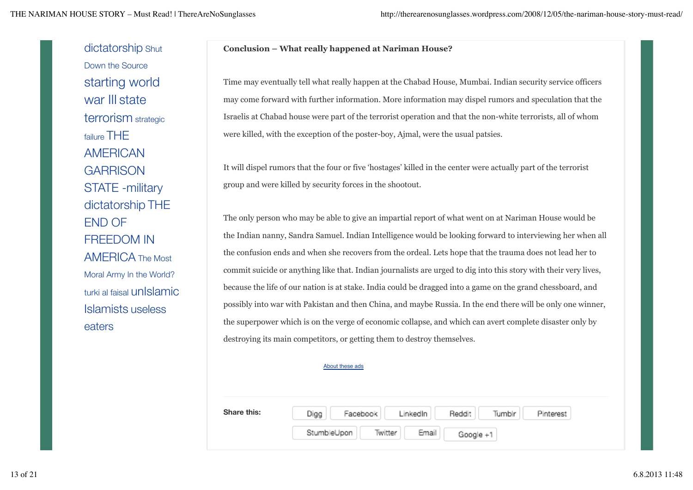dictatorship Shut Down the Source starting world war III state terrorism strategic failure THE AMERICAN **GARRISON** STATE -military dictatorship THE END OF FREEDOM IN AMERICA The Most Moral Army In the World? turki al faisal unIslamic Islamists useless eaters

#### **Conclusion – What really happened at Nariman House?**

Time may eventually tell what really happen at the Chabad House, Mumbai. Indian security service officers may come forward with further information. More information may dispel rumors and speculation that the Israelis at Chabad house were part of the terrorist operation and that the non-white terrorists, all of whom were killed, with the exception of the poster-boy, Ajmal, were the usual patsies.

It will dispel rumors that the four or five 'hostages' killed in the center were actually part of the terrorist group and were killed by security forces in the shootout.

The only person who may be able to give an impartial report of what went on at Nariman House would be the Indian nanny, Sandra Samuel. Indian Intelligence would be looking forward to interviewing her when all the confusion ends and when she recovers from the ordeal. Lets hope that the trauma does not lead her to commit suicide or anything like that. Indian journalists are urged to dig into this story with their very lives, because the life of our nation is at stake. India could be dragged into a game on the grand chessboard, and possibly into war with Pakistan and then China, and maybe Russia. In the end there will be only one winner, the superpower which is on the verge of economic collapse, and which can avert complete disaster only by destroying its main competitors, or getting them to destroy themselves.

#### About these ads

**Share this:** Reddit Digg Facebook LinkedIn Tumbir Pinterest StumbleUpon Twitter Email Google +1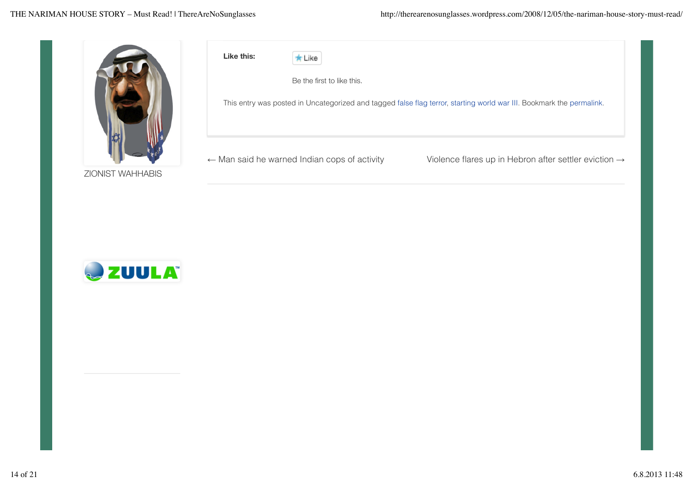

ZIONIST WAHHABIS